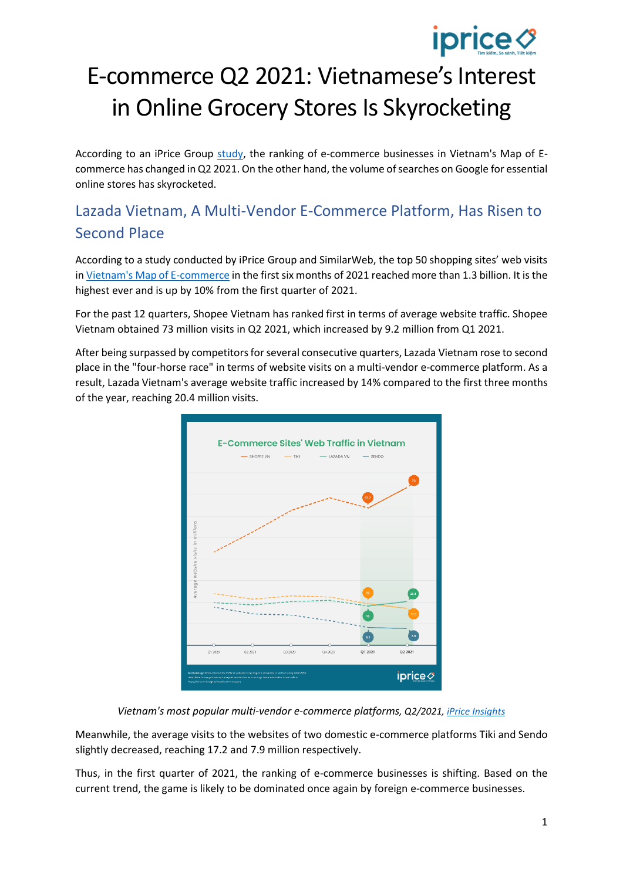# **iprice ∅**

## E-commerce Q2 2021: Vietnamese's Interest in Online Grocery Stores Is Skyrocketing

According to an iPrice Group [study,](https://iprice.vn/xu-huong/insights/bao-cao-tmdt-quy-ii2021-bung-no-nhu-cau-tim-kiem-cua-hang-thiet-yeu-online/?nocache=1) the ranking of e-commerce businesses in Vietnam's Map of Ecommerce has changed in Q2 2021. On the other hand, the volume of searches on Google for essential online stores has skyrocketed.

## Lazada Vietnam, A Multi-Vendor E-Commerce Platform, Has Risen to Second Place

According to a study conducted by iPrice Group and SimilarWeb, the top 50 shopping sites' web visits i[n Vietnam's Map of E-commerce](https://iprice.vn/insights/mapofecommerce/) in the first six months of 2021 reached more than 1.3 billion. It is the highest ever and is up by 10% from the first quarter of 2021.

For the past 12 quarters, Shopee Vietnam has ranked first in terms of average website traffic. Shopee Vietnam obtained 73 million visits in Q2 2021, which increased by 9.2 million from Q1 2021.

After being surpassed by competitors for several consecutive quarters, Lazada Vietnam rose to second place in the "four-horse race" in terms of website visits on a multi-vendor e-commerce platform. As a result, Lazada Vietnam's average website traffic increased by 14% compared to the first three months of the year, reaching 20.4 million visits.



*Vietnam's most popular multi-vendor e-commerce platforms, Q2/2021, [iPrice Insights](https://iprice.vn/insights/mapofecommerce/en/)*

Meanwhile, the average visits to the websites of two domestic e-commerce platforms Tiki and Sendo slightly decreased, reaching 17.2 and 7.9 million respectively.

Thus, in the first quarter of 2021, the ranking of e-commerce businesses is shifting. Based on the current trend, the game is likely to be dominated once again by foreign e-commerce businesses.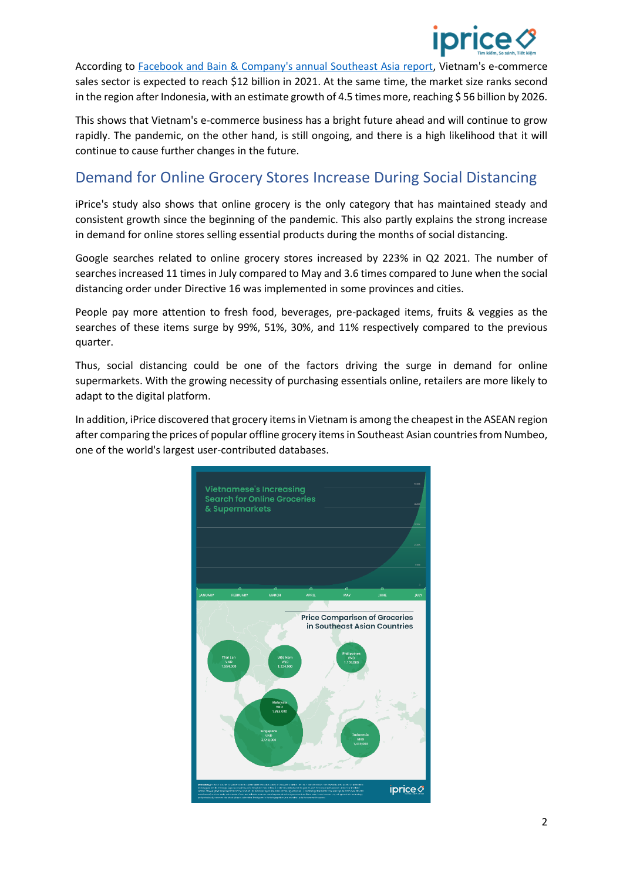

According to [Facebook and Bain & Company's annual Southeast Asia report,](https://www.facebook.com/business/m/sync-southeast-asia) Vietnam's e-commerce sales sector is expected to reach \$12 billion in 2021. At the same time, the market size ranks second in the region after Indonesia, with an estimate growth of 4.5 times more, reaching \$56 billion by 2026.

This shows that Vietnam's e-commerce business has a bright future ahead and will continue to grow rapidly. The pandemic, on the other hand, is still ongoing, and there is a high likelihood that it will continue to cause further changes in the future.

## Demand for Online Grocery Stores Increase During Social Distancing

iPrice's study also shows that online grocery is the only category that has maintained steady and consistent growth since the beginning of the pandemic. This also partly explains the strong increase in demand for online stores selling essential products during the months of social distancing.

Google searches related to online grocery stores increased by 223% in Q2 2021. The number of searches increased 11 times in July compared to May and 3.6 times compared to June when the social distancing order under Directive 16 was implemented in some provinces and cities.

People pay more attention to fresh food, beverages, pre-packaged items, fruits & veggies as the searches of these items surge by 99%, 51%, 30%, and 11% respectively compared to the previous quarter.

Thus, social distancing could be one of the factors driving the surge in demand for online supermarkets. With the growing necessity of purchasing essentials online, retailers are more likely to adapt to the digital platform.

In addition, iPrice discovered that grocery itemsin Vietnam is among the cheapest in the ASEAN region after comparing the prices of popular offline grocery items in Southeast Asian countries from Numbeo, one of the world's largest user-contributed databases.